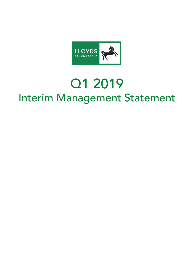

# Q1 2019 Interim Management Statement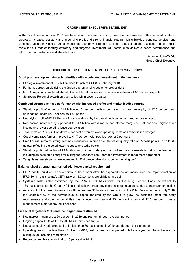## **GROUP CHIEF EXECUTIVE'S STATEMENT**

In the first three months of 2019 we have again delivered a strong business performance with continued strategic progress, increased statutory and underlying profit and strong financial returns. While Brexit uncertainty persists, and continued uncertainty could further impact the economy, I remain confident that our unique business model, and in particular our market leading efficiency and targeted investment, will continue to deliver superior performance and returns for our customers and shareholders.

> António Horta-Osório Group Chief Executive

## **HIGHLIGHTS FOR THE THREE MONTHS ENDED 31 MARCH 2019**

#### **Good progress against strategic priorities with accelerated investment in the business**

- Strategic investment of £1.2 billion since launch of GSR3 in February 2018
- Further progress on digitising the Group and enhancing customer propositions
- MBNA migration completed ahead of schedule with increased return on investment of 18 per cent expected
- Schroders Personal Wealth on track to launch in second quarter

#### **Continued strong business performance with increased profits and market leading returns**

- Statutory profit after tax of £1.2 billion up 2 per cent with strong return on tangible equity of 12.5 per cent and earnings per share up 2 per cent to 1.49 pence
- Underlying profit of £2.2 billion up 8 per cent driven by increased net income and lower operating costs
- Net income increased by 2 per cent to £4.4 billion with a robust net interest margin of 2.91 per cent, higher other income and lower operating lease depreciation
- Total costs of £1,977 million down 4 per cent driven by lower operating costs and remediation charges
- Cost:income ratio further improved to 44.7 per cent with positive jaws of 6 per cent
- Credit quality remains strong, with no deterioration in credit risk. Net asset quality ratio of 25 basis points up on fourth quarter reflecting expected lower releases and write backs
- Statutory profit before tax of £1.6 billion with higher underlying profit offset by movements in below the line items, including an estimated charge for exiting the Standard Life Aberdeen investment management agreement
- Tangible net assets per share increased to 53.4 pence driven by strong underlying profit

## **Balance sheet strength maintained with lower capital requirement**

- CET1 capital build of 31 basis points in the quarter after the expected one off impact from the implementation of IFRS 16 (11 basis points); CET1 ratio of 14.2 per cent, pre dividend accrual
- Systemic Risk Buffer confirmed by the PRA at 200 basis points for the Ring Fenced Bank, equivalent to 170 basis points for the Group, 40 basis points lower than previously included in guidance due to management action
- As a result of the lower Systemic Risk Buffer and net 30 basis point reduction in the Pillar 2A announced in July 2018, the Board's view of the current level of capital required by the Group to grow the business, meet regulatory requirements and cover uncertainties has reduced from around 13 per cent to around 12.5 per cent, plus a management buffer of around 1 per cent

#### **Financial targets for 2019 and the longer term reaffirmed**

- Net interest margin of c.2.90 per cent in 2019 and resilient through the plan period
- Ongoing capital build of 170 to 200 basis points per annum
- Net asset quality ratio expected to be less than 30 basis points in 2019 and through the plan period
- Operating costs to be less than £8 billion in 2019; cost:income ratio expected to fall every year and be in the low 40s exiting 2020, including remediation
- Return on tangible equity of 14 to 15 per cent in 2019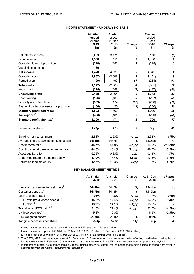## **INCOME STATEMENT − UNDERLYING BASIS**

|                                                | Quarter<br>ended<br>31 Mar<br>2019 | Quarter<br>ended<br>31 Mar<br>2018 | Change                    | Quarter<br>ended<br>31 Dec<br>2018 | Change           |
|------------------------------------------------|------------------------------------|------------------------------------|---------------------------|------------------------------------|------------------|
|                                                | £m                                 | £m                                 | ℅                         | £m                                 | ℅                |
| Net interest income                            | 3,083                              | 3,171                              | (3)                       | 3,170                              | (3)              |
| Other income                                   | 1,506                              | 1,411                              | $\overline{7}$            | 1,400                              | 8                |
| Operating lease depreciation                   | (219)                              | (252)                              | 13                        | (225)                              | $\boldsymbol{3}$ |
| Vocalink gain on sale                          | 50                                 |                                    |                           |                                    |                  |
| Net income                                     | 4,420                              | 4,330                              | $\boldsymbol{2}$          | 4,345                              | $\overline{2}$   |
| Operating costs                                | (1, 957)                           | (2,008)                            | $\boldsymbol{\mathsf{3}}$ | (2, 151)                           | 9                |
| Remediation                                    | (20)                               | (60)                               | 67                        | (234)                              | 91               |
| <b>Total costs</b>                             | (1, 977)                           | (2,068)                            | 4                         | (2, 385)                           | 17               |
| Impairment                                     | (275)                              | (258)                              | (7)                       | (197)                              | (40)             |
| <b>Underlying profit</b>                       | 2,168                              | 2,004                              | 8                         | 1,763                              | 23               |
| Restructuring                                  | (126)                              | (138)                              | 9                         | (267)                              | 53               |
| Volatility and other items                     | (339)                              | (174)                              | (95)                      | (270)                              | (26)             |
| Payment protection insurance provision         | (100)                              | (90)                               | (11)                      | (200)                              | 50               |
| <b>Statutory profit before tax</b>             | 1,603                              | 1,602                              | -                         | 1,026                              | 56               |
| Tax expense <sup>1</sup>                       | (403)                              | (431)                              | 6                         | (260)                              | (55)             |
| Statutory profit after tax <sup>1</sup>        | 1,200                              | 1,171                              | $\boldsymbol{2}$          | 766                                | 57               |
| Earnings per share                             | 1.49p                              | 1.47p                              | $\boldsymbol{2}$          | 0.88p                              | 69               |
| Banking net interest margin                    | 2.91%                              | 2.93%                              | (2)bp                     | 2.92%                              | $(1)$ bp         |
| Average interest-earning banking assets        | £433bn                             | £437bn                             | (1)                       | £436bn                             | (1)              |
| Cost:income ratio                              | 44.7%                              | 47.8%                              | $(3.1)$ pp                | 54.9%                              | $(10.2)$ pp      |
| Cost:income ratio excluding remediation        | 44.3%                              | 46.4%                              | $(2.1)$ pp                | 49.5%                              | $(5.2)$ pp       |
| Asset quality ratio                            | 0.25%                              | 0.23%                              | 2bp                       | 0.18%                              | 7bp              |
| Underlying return on tangible equity           | 17.0%                              | 15.4%                              | 1.6pp                     | 13.6%                              | 3.4pp            |
| Return on tangible equity                      | 12.5%                              | 12.3%                              | 0.2pp                     | 7.8%                               | 4.7pp            |
|                                                | <b>KEY BALANCE SHEET METRICS</b>   |                                    |                           |                                    |                  |
|                                                | At 31 Mar<br>2019                  | At 31 Mar<br>2018                  | Change<br>%               | At 31 Dec<br>2018                  | Change<br>%      |
| Loans and advances to customers <sup>2</sup>   | £441bn                             | £445bn                             | (1)                       | £444bn                             | (1)              |
| Customer deposits <sup>3</sup>                 | £417bn                             | £413bn                             | 1                         | £416bn                             |                  |
| Loan to deposit ratio                          | 106%                               | 108%                               | $(2)$ pp                  | 107%                               | $(1)$ pp         |
| CET1 ratio pre dividend accrual <sup>4,5</sup> | 14.2%                              | 14.4%                              | $(0.2)$ pp                | 13.9%                              | $0.3$ pp         |
| CET1 ratio <sup>4,5</sup>                      | 13.9%                              | 14.1%                              | $(0.2)$ pp                | 13.9%                              |                  |
| Transitional MREL ratio <sup>4,5</sup>         | 31.5%                              | 27.4%                              | 4.1pp                     | 32.6%                              | $(1.1)$ pp       |
| UK leverage ratio <sup>4,5</sup>               | 5.3%                               | 5.3%                               |                           | 5.6%                               | $(0.3)$ pp       |
| Risk-weighted assets                           | £208bn                             | £211bn                             | (1)                       | £206bn                             | 1                |
| Tangible net assets per share                  | 53.4p                              | 52.3p                              | 1.1p                      | 53.0p                              | 0.4p             |

<sup>1</sup> Comparatives restated to reflect amendments to IAS 12, see basis of presentation.<br><sup>2</sup> Excludes reverse repos of £49.3 billion (31 March 2018: £21.8 billion, 31 December 2018: £40.5 billion).<br><sup>3</sup> Excludes repos of £5.0 Insurance business in February 2019 in relation to prior year earnings. The CET1 ratios are also reported post share buyback.

<sup>5</sup>Incorporating profits, net of foreseeable dividends (unless otherwise stated), for the period that remain subject to formal verification in accordance with the Capital Requirements Regulation.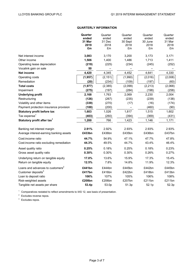# **QUARTERLY INFORMATION**

|                                              | Quarter  | Quarter  | Quarter | Quarter  | Quarter |
|----------------------------------------------|----------|----------|---------|----------|---------|
|                                              | ended    | ended    | ended   | ended    | ended   |
|                                              | 31 Mar   | 31 Dec   | 30 Sept | 30 June  | 31 Mar  |
|                                              | 2019     | 2018     | 2018    | 2018     | 2018    |
|                                              | £m       | £m       | £m      | £m       | £m      |
| Net interest income                          | 3,083    | 3,170    | 3,200   | 3,173    | 3,171   |
| Other income                                 | 1,506    | 1,400    | 1,486   | 1,713    | 1,411   |
| Operating lease depreciation                 | (219)    | (225)    | (234)   | (245)    | (252)   |
| Vocalink gain on sale                        | 50       |          |         |          |         |
| <b>Net income</b>                            | 4,420    | 4,345    | 4,452   | 4,641    | 4,330   |
| Operating costs                              | (1, 957) | (2, 151) | (1,990) | (2,016)  | (2,008) |
| Remediation                                  | (20)     | (234)    | (109)   | (197)    | (60)    |
| <b>Total costs</b>                           | (1, 977) | (2, 385) | (2,099) | (2, 213) | (2,068) |
| Impairment                                   | (275)    | (197)    | (284)   | (198)    | (258)   |
| <b>Underlying profit</b>                     | 2,168    | 1,763    | 2,069   | 2,230    | 2,004   |
| Restructuring                                | (126)    | (267)    | (235)   | (239)    | (138)   |
| Volatility and other items                   | (339)    | (270)    | (17)    | (16)     | (174)   |
| Payment protection insurance provision       | (100)    | (200)    |         | (460)    | (90)    |
| <b>Statutory profit before tax</b>           | 1,603    | 1,026    | 1,817   | 1,515    | 1,602   |
| Tax expense <sup>1</sup>                     | (403)    | (260)    | (394)   | (369)    | (431)   |
| Statutory profit after tax <sup>1</sup>      | 1,200    | 766      | 1,423   | 1,146    | 1,171   |
|                                              |          |          |         |          |         |
| Banking net interest margin                  | 2.91%    | 2.92%    | 2.93%   | 2.93%    | 2.93%   |
| Average interest-earning banking assets      | £433bn   | £436bn   | £435bn  | £436bn   | £437bn  |
| Cost:income ratio                            | 44.7%    | 54.9%    | 47.1%   | 47.7%    | 47.8%   |
| Cost:income ratio excluding remediation      | 44.3%    | 49.5%    | 44.7%   | 43.4%    | 46.4%   |
| Asset quality ratio                          | 0.25%    | 0.18%    | 0.25%   | 0.18%    | 0.23%   |
| Gross asset quality ratio                    | 0.30%    | 0.30%    | 0.30%   | 0.26%    | 0.27%   |
| Underlying return on tangible equity         | 17.0%    | 13.6%    | 15.9%   | 17.3%    | 15.4%   |
| Return on tangible equity                    | 12.5%    | 7.8%     | 14.8%   | 11.9%    | 12.3%   |
| Loans and advances to customers <sup>2</sup> | £441bn   | £444bn   | £445bn  | £442bn   | £445bn  |
| Customer deposits <sup>3</sup>               | £417bn   | £416bn   | £422bn  | £418bn   | £413bn  |
| Loan to deposit ratio                        | 106%     | 107%     | 105%    | 106%     | 108%    |
| Risk-weighted assets                         | £208bn   | £206bn   | £207bn  | £211bn   | £211bn  |
| Tangible net assets per share                | 53.4p    | 53.0p    | 51.3p   | 52.1p    | 52.3p   |

 $1$  Comparatives restated to reflect amendments to IAS 12, see basis of presentation.

 $2$  Excludes reverse repos.

<sup>3</sup> Excludes repos.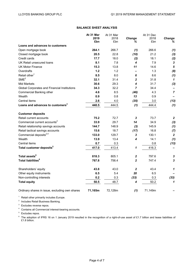# **BALANCE SHEET ANALYSIS**

|                                                | At 31 Mar | At 31 Mar |                         | At 31 Dec |                           |
|------------------------------------------------|-----------|-----------|-------------------------|-----------|---------------------------|
|                                                | 2019      | 2018      | Change                  | 2018      | Change                    |
|                                                | £bn       | £bn       | ℅                       | £bn       | %                         |
| Loans and advances to customers                |           |           |                         |           |                           |
| Open mortgage book                             | 264.1     | 266.7     | (1)                     | 266.6     | (1)                       |
| Closed mortgage book                           | 20.5      | 22.8      | (10)                    | 21.2      | (3)                       |
| Credit cards                                   | 17.7      | 18.0      | (2)                     | 18.1      | (2)                       |
| UK Retail unsecured loans                      | 8.1       | 7.8       | 4                       | 7.9       | 3                         |
| <b>UK Motor Finance</b>                        | 15.3      | 13.8      | 11                      | 14.6      | 5                         |
| Overdrafts                                     | 1.2       | 1.2       |                         | 1.3       | (8)                       |
| Retail other <sup>1</sup>                      | 8.5       | 8.0       | 6                       | 8.6       | (1)                       |
| SME <sup>2</sup>                               | 32.1      | 31.4      | $\overline{2}$          | 31.8      | $\mathbf{1}$              |
| <b>Mid Markets</b>                             | 30.6      | 29.3      | 4                       | 31.7      | (3)                       |
| Global Corporates and Financial Institutions   | 34.3      | 32.2      | $\overline{ }$          | 34.4      |                           |
| Commercial Banking other                       | 4.6       | 8.5       | (46)                    | 4.3       | $\overline{7}$            |
| Wealth                                         | 0.9       | 0.8       | 13                      | 0.9       |                           |
| Central items                                  | 2.6       | 4.0       | (35)                    | 3.0       | (13)                      |
| Loans and advances to customers <sup>3</sup>   | 440.5     | 444.5     | (1)                     | 444.4     | (1)                       |
| <b>Customer deposits</b>                       |           |           |                         |           |                           |
| Retail current accounts                        | 75.2      | 72.7      | 3                       | 73.7      | $\overline{2}$            |
| Commercial current accounts <sup>2</sup>       | 33.9      | 29.7      | 14                      | 34.9      | (3)                       |
| Retail relationship savings accounts           | 144.7     | 148.9     | (3)                     | 145.9     | (1)                       |
| Retail tactical savings accounts               | 15.6      | 18.7      | (17)                    | 16.8      | (7)                       |
| Commercial deposits <sup>2,4</sup>             | 133.0     | 129.7     | 3                       | 130.1     | $\overline{2}$            |
| Wealth                                         | 13.9      | 13.4      | 4                       | 14.1      | (1)                       |
| Central items                                  | 0.7       | 0.3       |                         | 0.8       | (13)                      |
| Total customer deposits <sup>5</sup>           | 417.0     | 413.4     | 1                       | 416.3     |                           |
| Total assets <sup>6</sup>                      | 818.3     | 805.1     | $\overline{\mathbf{2}}$ | 797.6     | $\boldsymbol{\mathsf{3}}$ |
| <b>Total liabilities<sup>6</sup></b>           | 767.8     | 756.4     | $\overline{2}$          | 747.4     | $\mathbf{3}$              |
| Shareholders' equity                           | 43.8      | 43.0      | $\mathbf{2}$            | 43.4      | $\mathbf{1}$              |
| Other equity instruments                       | 6.5       | 5.4       | 20                      | 6.5       |                           |
| Non-controlling interests                      | 0.2       | 0.3       | (33)                    | 0.3       | (33)                      |
| <b>Total equity</b>                            | 50.5      | 48.7      | 4                       | 50.2      | $\mathbf{1}$              |
| Ordinary shares in issue, excluding own shares | 71,165m   | 72,128m   | (1)                     | 71,149m   |                           |

<sup>1</sup> Retail other primarily includes Europe.

<sup>2</sup> Includes Retail Business Banking.

<sup>3</sup> Excludes reverse repos.

<sup>4</sup> Contains all Commercial interest-bearing accounts.

<sup>5</sup> Excludes repos.

<sup>6</sup> The adoption of IFRS 16 on 1 January 2019 resulted in the recognition of a right-of-use asset of £1.7 billion and lease liabilities of £1.8 billion.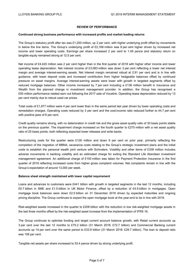# **REVIEW OF PERFORMANCE**

#### **Continued strong business performance with increased profits and market leading returns**

The Group's statutory profit after tax was £1,200 million, up 2 per cent, with higher underlying profit offset by movements in below the line items. The Group's underlying profit of £2,168 million was 8 per cent higher driven by increased net income and lower operating costs. Earnings per share increased 2 per cent to 1.49 pence and statutory return on tangible equity remained strong at 12.5 per cent.

Net income of £4,420 million was 2 per cent higher than in the first quarter of 2018 with higher other income and lower operating lease depreciation. Net interest income of £3,083 million was down 3 per cent reflecting a lower net interest margin and average interest-earning assets. Net interest margin remained robust at 2.91 per cent and is in line with guidance, with lower deposit costs and increased contribution from higher hedgeable balances offset by continued pressure on asset margins. Average interest-earning assets were lower with growth in targeted segments offset by reduced mortgage balances. Other income increased by 7 per cent including a £136 million benefit in Insurance and Wealth from the planned change in investment management provider. In addition, the Group has recognised a £50 million performance related earn out following the 2017 sale of Vocalink. Operating lease depreciation reduced by 13 per cent mainly due to robust used car prices.

Total costs of £1,977 million were 4 per cent lower than in the same period last year driven by lower operating costs and remediation charges. Operating costs reduced by 3 per cent and the cost:income ratio reduced further to 44.7 per cent with positive jaws of 6 per cent.

Credit quality remains strong, with no deterioration in credit risk and the gross asset quality ratio of 30 basis points stable on the previous quarter. The impairment charge increased on the fourth quarter to £275 million with a net asset quality ratio of 25 basis points, both reflecting expected lower releases and write backs.

Restructuring costs for the quarter were £126 million and down 9 per cent on prior year, primarily reflecting the completion of the migration of MBNA, severance costs relating to the Group's strategic investment plans and the initial costs to establish the personal wealth joint venture with Schroders. Volatility and other items of £339 million includes adverse movements in banking volatility and an estimated charge for exiting the Standard Life Aberdeen investment management agreement. An additional charge of £100 million was taken for Payment Protection Insurance in the first quarter of 2019 reflecting increased costs from higher gross complaint volumes. Net complaints remain in line with the Group's expectation of around 13,000 per week.

## **Balance sheet strength maintained with lower capital requirement**

Loans and advances to customers were £441 billion with growth in targeted segments in the last 12 months, including £0.7 billion in SME and £1.5 billion in UK Motor Finance, offset by a reduction of £4.9 billion in mortgages. Open mortgage book balances were down £2.5 billion on 31 December 2018 driven by expected maturities and ongoing pricing discipline. The Group continues to expect the open mortgage book at the year-end to be in line with 2018.

Risk-weighted assets increased in the quarter to £208 billion with the reduction in low risk-weighted mortgage assets in the last three months offset by the risk-weighted asset increase from the implementation of IFRS 16.

The Group continues to optimise funding and target current account balance growth, with Retail current accounts up 3 per cent over the last 12 months to £75.2 billion (31 March 2018: £72.7 billion) and Commercial Banking current accounts up 14 per cent over the same period to £33.9 billion (31 March 2018: £29.7 billion). The loan to deposit ratio was 106 per cent.

Tangible net assets per share increased to 53.4 pence driven by strong underlying profit.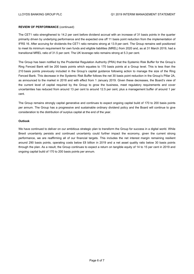## **REVIEW OF PERFORMANCE** (continued)

The CET1 ratio strengthened to 14.2 per cent before dividend accrual with an increase of 31 basis points in the quarter primarily driven by underlying performance and the expected one off 11 basis point reduction from the implementation of IFRS 16. After accruing for dividends the CET1 ratio remains strong at 13.9 per cent. The Group remains well positioned to meet its minimum requirement for own funds and eligible liabilities (MREL) from 2020 and, as at 31 March 2019, had a transitional MREL ratio of 31.5 per cent. The UK leverage ratio remains strong at 5.3 per cent.

The Group has been notified by the Prudential Regulation Authority (PRA) that the Systemic Risk Buffer for the Group's Ring Fenced Bank will be 200 basis points which equates to 170 basis points at a Group level. This is less than the 210 basis points previously included in the Group's capital guidance following action to manage the size of the Ring Fenced Bank. This decrease in the Systemic Risk Buffer follows the net 30 basis point reduction in the Group's Pillar 2A, as announced to the market in 2018 and with effect from 1 January 2019. Given these decreases, the Board's view of the current level of capital required by the Group to grow the business, meet regulatory requirements and cover uncertainties has reduced from around 13 per cent to around 12.5 per cent, plus a management buffer of around 1 per cent.

The Group remains strongly capital generative and continues to expect ongoing capital build of 170 to 200 basis points per annum. The Group has a progressive and sustainable ordinary dividend policy and the Board will continue to give consideration to the distribution of surplus capital at the end of the year.

#### **Outlook**

We have continued to deliver on our ambitious strategic plan to transform the Group for success in a digital world. While Brexit uncertainty persists and continued uncertainty could further impact the economy, given the current strong performance, we are reaffirming all of our financial targets. This includes the net interest margin remaining resilient around 290 basis points, operating costs below £8 billion in 2019 and a net asset quality ratio below 30 basis points through the plan. As a result, the Group continues to expect a return on tangible equity of 14 to 15 per cent in 2019 and ongoing capital build of 170 to 200 basis points per annum.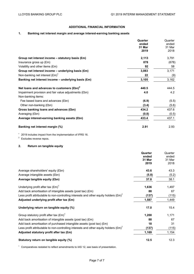# **ADDITIONAL FINANCIAL INFORMATION**

# **1. Banking net interest margin and average interest-earning banking assets**

|                                                       | Quarter<br>ended<br>31 Mar | Quarter<br>ended<br>31 Mar |
|-------------------------------------------------------|----------------------------|----------------------------|
|                                                       | 2019                       | 2018                       |
| Group net interest income - statutory basis (£m)      | 2,113                      | 3,791                      |
| Insurance gross up $(\text{Em})$                      | 878                        | (678)                      |
| Volatility and other items (£m)                       | 92                         | 58                         |
| Group net interest income - underlying basis (£m)     | 3,083                      | 3,171                      |
| Non-banking net interest $(\text{Em})^1$              | 22                         | (9)                        |
| Banking net interest income $-$ underlying basis (£m) | 3,105                      | 3,162                      |
| Net loans and advances to customers $(f(bn)^2)$       | 440.5                      | 444.5                      |
| Impairment provision and fair value adjustments (£bn) | 4.0                        | 4.2                        |
| Non-banking items:                                    |                            |                            |
| Fee based loans and advances (£bn)                    | (6.9)                      | (5.5)                      |
| Other non-banking (£bn)                               | (3.4)                      | (5.6)                      |
| Gross banking loans and advances (£bn)                | 434.2                      | 437.6                      |
| Averaging (£bn)                                       | (0.8)                      | (0.5)                      |
| Average interest-earning banking assets (£bn)         | 433.4                      | 437.1                      |
| Banking net interest margin (%)                       | 2.91                       | 2.93                       |

<sup>1</sup> 2019 includes impact from the implementation of IFRS 16.

<sup>2</sup> Excludes reverse repos.

# **2. Return on tangible equity**

|                                                                                                      | Quarter<br>ended<br>31 Mar<br>2019 | Quarter<br>ended<br>31 Mar<br>2018 |
|------------------------------------------------------------------------------------------------------|------------------------------------|------------------------------------|
| Average shareholders' equity (£bn)                                                                   | 43.6                               | 43.3                               |
| Average intangible assets (£bn)                                                                      | (5.8)                              | (5.2)                              |
| Average tangible equity (£bn)                                                                        | 37.8                               | 38.1                               |
| Underlying profit after tax $(\text{Em})^1$                                                          | 1,636                              | 1,497                              |
| Add back amortisation of intangible assets (post tax) (£m)                                           | 88                                 | 67                                 |
| Less profit attributable to non-controlling interests and other equity holders $(\text{\pounds}m)^T$ | (137)                              | (115)                              |
| Adjusted underlying profit after tax (£m)                                                            | 1,587                              | 1,449                              |
| Underlying return on tangible equity (%)                                                             | 17.0                               | 15.4                               |
| Group statutory profit after tax $(\text{Em})^1$                                                     | 1,200                              | 1,171                              |
| Add back amortisation of intangible assets (post tax) $(\text{Em})$                                  | 88                                 | 67                                 |
| Add back amortisation of purchased intangible assets (post tax) $(\text{Em})$                        | 18                                 | 31                                 |
| Less profit attributable to non-controlling interests and other equity holders $(fm)^1$              | (137)                              | (115)                              |
| Adjusted statutory profit after tax (£m)                                                             | 1,169                              | 1,154                              |
| Statutory return on tangible equity (%)                                                              | 12.5                               | 12.3                               |

<sup>1</sup> Comparatives restated to reflect amendments to IAS 12, see basis of presentation.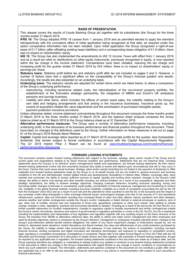#### **BASIS OF PRESENTATION**

This release covers the results of Lloyds Banking Group plc together with its subsidiaries (the Group) for the three months ended 31 March 2019.

**IFRS 16:** The Group adopted IFRS 16 *Leases* from 1 January 2019 and as permitted elected to apply the standard retrospectively with the cumulative effect of initial application being recognised at that date; as required under this option comparative information has not been restated. Upon initial application the Group recognised a right-of-use asset of £1.7 billion (after offsetting existing lease liabilities) and a corresponding lease obligation of £1.8 billion; there was no impact on shareholders' equity.

**IAS 12:** The Group has also implemented the amendments to IAS 12 *Income Taxes* with effect from 1 January 2019 and as a result tax relief on distributions on other equity instruments, previously recognised in equity, is now reported within the tax charge in the income statement. Comparatives have been restated, reducing the tax charge and increasing profit for the quarter ended 31 March 2018 by £24 million; there is no impact on shareholders' equity or earnings per share.

**Statutory basis:** Statutory profit before tax and statutory profit after tax are included on pages 2 and 3. However, a number of factors have had a significant effect on the comparability of the Group's financial position and results. Accordingly, the results are also presented on an underlying basis.

**Underlying basis:** The statutory results are adjusted for certain items which are listed below, to allow a comparison of the Group's underlying performance.

- − restructuring, including severance related costs, the rationalisation of the non-branch property portfolio, the establishment of the Schroders strategic partnership, the integration of MBNA and Zurich's UK workplace pensions and savings business;
- − volatility and other items, which includes the effects of certain asset sales, the volatility relating to the Group's own debt and hedging arrangements and that arising in the insurance businesses, insurance gross up, the unwind of acquisition-related fair value adjustments and the amortisation of purchased intangible assets;
- − payment protection insurance provisions.

Unless otherwise stated, income statement commentaries throughout this document compare the three months ended 31 March 2019 to the three months ended 31 March 2018, and the balance sheet analysis compares the Group balance sheet as at 31 March 2019 to the Group balance sheet as at 31 December 2018.

**Alternative performance measures:** The Group uses a number of alternative performance measures, including underlying profit, in the discussion of its business performance and financial position throughout this document. There have been no changes to the definitions used by the Group; further information on these measures is set out on page 61 of the Group's 2018 Results News Release.

**Capital:** Capital and leverage ratios reported as at 31 March 2019 incorporate profits for the quarter, less foreseeable dividends, that remain subject to formal verification in accordance with the Capital Requirements Regulation. The Q1 2019 Interim Pillar 3 Report can be found at: www.lloydsbankinggroup.com/investors/financialperformance/other-disclosures

#### **FORWARD LOOKING STATEMENTS**

This document contains certain forward looking statements with respect to the business, strategy, plans and/or results of the Group and its current goals and expectations relating to its future financial condition and performance. Statements that are not historical facts, including statements about the Group's or its directors' and/or management's beliefs and expectations, are forward looking statements. By their nature, forward looking statements involve risk and uncertainty because they relate to events and depend upon circumstances that will or may occur in the future. Factors that could cause actual business, strategy, plans and/or results (including but not limited to the payment of dividends) to differ materially from forward looking statements made by the Group or on its behalf include, but are not limited to: general economic and business conditions in the UK and internationally; market related trends and developments; fluctuations in interest rates, inflation, exchange rates, stock markets and currencies; the ability to access sufficient sources of capital, liquidity and funding when required; changes to the Group's credit ratings; the ability to derive cost savings and other benefits including, but without limitation as a result of any acquisitions, disposals and other strategic transactions; the ability to achieve strategic objectives; changing customer behaviour including consumer spending, saving and borrowing habits; changes to borrower or counterparty credit quality; concentration of financial exposure; management and monitoring of conduct risk; instability in the global financial markets, including Eurozone instability, instability as a result of uncertainty surrounding the exit by the UK from the European Union (EU) and as a result of such exit and the potential for other countries to exit the EU or the Eurozone and the impact of any sovereign credit rating downgrade or other sovereign financial issues; technological changes and risks to the security of IT and operational infrastructure, systems, data and information resulting from increased threat of cyber and other attacks; natural, pandemic and other disasters, adverse weather and similar contingencies outside the Group's control; inadequate or failed internal or external processes or systems; acts of war, other acts of hostility, terrorist acts and responses to those acts, geopolitical, pandemic or other such events; risks relating to climate change; changes in laws, regulations, practices and accounting standards or taxation, including as a result of the exit by the UK from the EU, or a further possible referendum on Scottish independence; changes to regulatory capital or liquidity requirements and similar contingencies outside the Group's control; the policies, decisions and actions of governmental or regulatory authorities or courts in the UK, the EU, the US or elsewhere including the implementation and interpretation of key legislation and regulation together with any resulting impact on the future structure of the Group; the transition from IBORs to alternative reference rates; the ability to attract and retain senior management and other employees and meet its diversity objectives; actions or omissions by the Group's directors, management or employees including industrial action; changes to the Group's post-retirement defined benefit scheme obligations; the extent of any future impairment charges or write-downs caused by, but not limited to, depressed asset valuations, market disruptions and illiquid markets; the value and effectiveness of any credit protection purchased by the Group; the inability to hedge certain risks economically; the adequacy of loss reserves; the actions of competitors, including non-bank financial services, lending companies and digital innovators and disruptive technologies; and exposure to regulatory or competition scrutiny, legal, regulatory or competition proceedings, investigations or complaints. Please refer to the latest Annual Report on Form 20-F filed with the US Securities and Exchange Commission for a discussion of certain factors and risks together with examples of forward looking statements. Except as required by any applicable law or regulation, the forward looking statements contained in this document are made as of today's date, and the Group expressly disclaims any obligation or undertaking to release publicly any updates or revisions to any forward looking statements contained in this document to reflect any change in the Group's expectations with regard thereto or any change in events, conditions or circumstances on which any such statement is based. The information, statements and opinions contained in this document do not constitute a public offer under any applicable law or an offer to sell any securities or financial instruments or any advice or recommendation with respect to such securities or financial instruments.